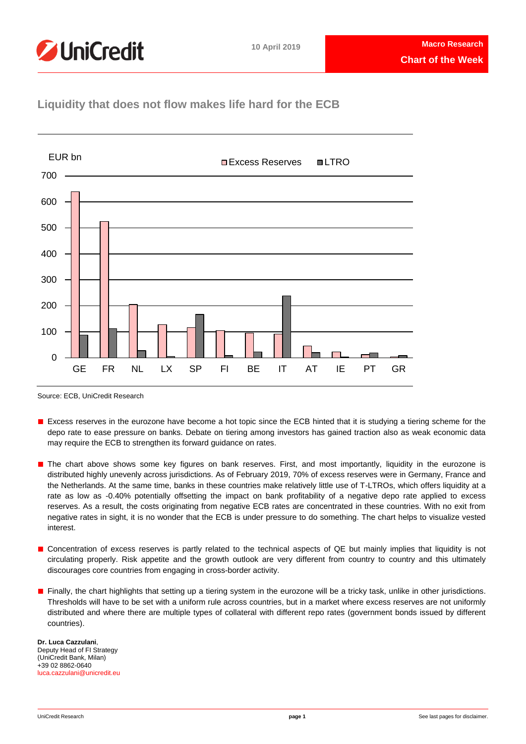

## **Liquidity that does not flow makes life hard for the ECB**



Source: ECB, UniCredit Research

- Excess reserves in the eurozone have become a hot topic since the ECB hinted that it is studying a tiering scheme for the depo rate to ease pressure on banks. Debate on tiering among investors has gained traction also as weak economic data may require the ECB to strengthen its forward guidance on rates.
- The chart above shows some key figures on bank reserves. First, and most importantly, liquidity in the eurozone is distributed highly unevenly across jurisdictions. As of February 2019, 70% of excess reserves were in Germany, France and the Netherlands. At the same time, banks in these countries make relatively little use of T-LTROs, which offers liquidity at a rate as low as -0.40% potentially offsetting the impact on bank profitability of a negative depo rate applied to excess reserves. As a result, the costs originating from negative ECB rates are concentrated in these countries. With no exit from negative rates in sight, it is no wonder that the ECB is under pressure to do something. The chart helps to visualize vested interest.
- Concentration of excess reserves is partly related to the technical aspects of QE but mainly implies that liquidity is not circulating properly. Risk appetite and the growth outlook are very different from country to country and this ultimately discourages core countries from engaging in cross-border activity.
- Finally, the chart highlights that setting up a tiering system in the eurozone will be a tricky task, unlike in other jurisdictions. Thresholds will have to be set with a uniform rule across countries, but in a market where excess reserves are not uniformly distributed and where there are multiple types of collateral with different repo rates (government bonds issued by different countries).

**Dr. Luca Cazzulani**, Deputy Head of FI Strategy (UniCredit Bank, Milan) +39 02 8862-0640 [luca.cazzulani@unicredit.eu](mailto:luca.cazzulani@unicredit.eu)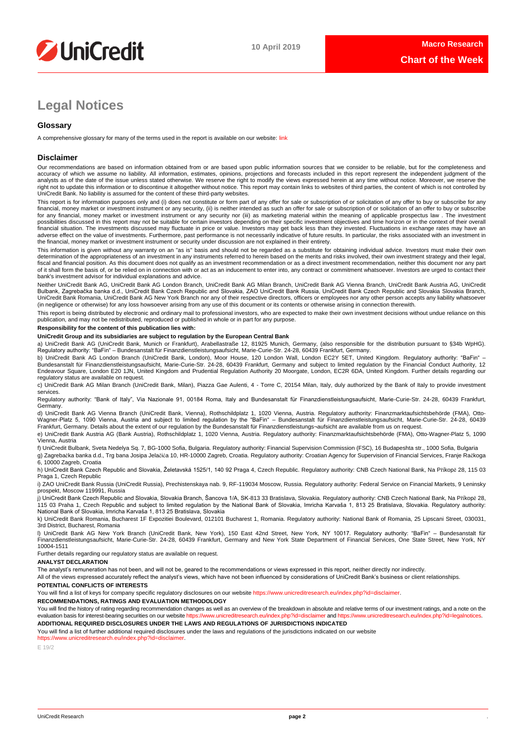

# **Legal Notices**

## **Glossary**

A comprehensive glossary for many of the terms used in the report is available on our website: [link](https://www.unicreditresearch.eu/index.php?id=glossary)

## **Disclaimer**

Our recommendations are based on information obtained from or are based upon public information sources that we consider to be reliable, but for the completeness and<br>accuracy of which we assume no liability. All informatio analysts as of the date of the issue unless stated otherwise. We reserve the right to modify the views expressed herein at any time without notice. Moreover, we reserve the right not to update this information or to discontinue it altogether without notice. This report may contain links to websites of third parties, the content of which is not controlled by UniCredit Bank. No liability is assumed for the content of these third-party websites.

This report is for information purposes only and (i) does not constitute or form part of any offer for sale or subscription of or solicitation of any offer to buy or subscribe for any<br>financial, money market or investment for any financial, money market or investment instrument or any security nor (iii) as marketing material within the meaning of applicable prospectus law . The investment possibilities discussed in this report may not be suitable for certain investors depending on their specific investment objectives and time horizon or in the context of their overall<br>financial situation. The investments di adverse effect on the value of investments. Furthermore, past performance is not necessarily indicative of future results. In particular, the risks associated with an investment in the financial, money market or investment instrument or security under discussion are not explained in their entirety.

This information is given without any warranty on an "as is" basis and should not be regarded as a substitute for obtaining individual advice. Investors must make their own<br>determination of the appropriateness of an invest fiscal and financial position. As this document does not qualify as an investment recommendation or as a direct investment recommendation, neither this document nor any part of it shall form the basis of, or be relied on in connection with or act as an inducement to enter into, any contract or commitment whatsoever. Investors are urged to contact their bank's investment advisor for individual explanations and advice.

Neither UniCredit Bank AG, UniCredit Bank AG London Branch, UniCredit Bank AG Milan Branch, UniCredit Bank AG Vienna Branch, UniCredit Bank Austria AG, UniCredit Bulbank, Zagrebačka banka d.d., UniCredit Bank Czech Republic and Slovakia, ZAO UniCredit Bank Russia, UniCredit Bank Czech Republic and Slovakia Slovakia Branch,<br>UniCredit Bank Romania, UniCredit Bank AG New York Branch n (in negligence or otherwise) for any loss howsoever arising from any use of this document or its contents or otherwise arising in connection therewith.

This report is being distributed by electronic and ordinary mail to professional investors, who are expected to make their own investment decisions without undue reliance on this publication, and may not be redistributed, reproduced or published in whole or in part for any purpose.

## **Responsibility for the content of this publication lies with:**

### **UniCredit Group and its subsidiaries are subject to regulation by the European Central Bank**

a) UniCredit Bank AG (UniCredit Bank, Munich or Frankfurt), Arabellastraße 12, 81925 Munich, Germany, (also responsible for the distribution pursuant to §34b WpHG).<br>Regulatory authority: "BaFin" – Bundesanstalt für Finanzd

b) UniCredit Bank AG London Branch (UniCredit Bank, London), Moor House, 120 London Wall, London EC2Y 5ET, United Kingdom. Regulatory authority: "BaFin" –<br>Bundesanstalt für Finanzdienstleistungsaufsicht, Marie-Curie-Str. 2 Endeavour Square, London E20 1JN, United Kingdom and Prudential Regulation Authority 20 Moorgate, London, EC2R 6DA, United Kingdom. Further details regarding our regulatory status are available on request.

c) UniCredit Bank AG Milan Branch (UniCredit Bank, Milan), Piazza Gae Aulenti, 4 - Torre C, 20154 Milan, Italy, duly authorized by the Bank of Italy to provide investment services.

Regulatory authority: "Bank of Italy", Via Nazionale 91, 00184 Roma, Italy and Bundesanstalt für Finanzdienstleistungsaufsicht, Marie-Curie-Str. 24-28, 60439 Frankfurt, Germany.

d) UniCredit Bank AG Vienna Branch (UniCredit Bank, Vienna), Rothschildplatz 1, 1020 Vienna, Austria. Regulatory authority: Finanzmarktaufsichtsbehörde (FMA), Otto-<br>Wagner-Platz 5, 1090 Vienna, Austria and subject to limit

e) UniCredit Bank Austria AG (Bank Austria), Rothschildplatz 1, 1020 Vienna, Austria. Regulatory authority: Finanzmarktaufsichtsbehörde (FMA), Otto-Wagner-Platz 5, 1090 Vienna, Austria

f) UniCredit Bulbank, Sveta Nedelya Sq. 7, BG-1000 Sofia, Bulgaria. Regulatory authority: Financial Supervision Commission (FSC), 16 Budapeshta str., 1000 Sofia, Bulgaria g) Zagrebačka banka d.d., Trg bana Josipa Jelačića 10, HR-10000 Zagreb, Croatia. Regulatory authority: Croatian Agency for Supervision of Financial Services, Franje Račkoga 6, 10000 Zagreb, Croatia

h) UniCredit Bank Czech Republic and Slovakia, Želetavská 1525/1, 140 92 Praga 4, Czech Republic. Regulatory authority: CNB Czech National Bank, Na Příkopě 28, 115 03 Praga 1, Czech Republic

i) ZAO UniCredit Bank Russia (UniCredit Russia), Prechistenskaya nab. 9, RF-119034 Moscow, Russia. Regulatory authority: Federal Service on Financial Markets, 9 Leninsky prospekt, Moscow 119991, Russia

j) UniCredit Bank Czech Republic and Slovakia, Slovakia Branch, Šancova 1/A, SK-813 33 Bratislava, Slovakia. Regulatory authority: CNB Czech National Bank, Na Příkopě 28, 115 03 Praha 1, Czech Republic and subject to limited regulation by the National Bank of Slovakia, Imricha Karvaša 1, 813 25 Bratislava, Slovakia. Regulatory authority:<br>National Bank of Slovakia, Imricha Karvaša 1, 813 25

k) UniCredit Bank Romania, Bucharest 1F Expozitiei Boulevard, 012101 Bucharest 1, Romania. Regulatory authority: National Bank of Romania, 25 Lipscani Street, 030031, 3rd District, Bucharest, Romania

l) UniCredit Bank AG New York Branch (UniCredit Bank, New York), 150 East 42nd Street, New York, NY 10017. Regulatory authority: "BaFin" – Bundesanstalt für Finanzdienstleistungsaufsicht, Marie-Curie-Str. 24-28, 60439 Frankfurt, Germany and New York State Department of Financial Services, One State Street, New York, NY 10004-1511

Further details regarding our regulatory status are available on request.

### **ANALYST DECLARATION**

The analyst's remuneration has not been, and will not be, geared to the recommendations or views expressed in this report, neither directly nor indirectly.

All of the views expressed accurately reflect the analyst's views, which have not been influenced by considerations of UniCredit Bank's business or client relationships. **POTENTIAL CONFLICTS OF INTERESTS**

You will find a list of keys for company specific regulatory disclosures on our websit[e https://www.unicreditresearch.eu/index.php?id=disclaimer.](https://www.unicreditresearch.eu/index.php?id=disclaimer)

**RECOMMENDATIONS, RATINGS AND EVALUATION METHODOLOGY** 

You will find the history of rating regarding recommendation changes as well as an overview of the breakdown in absolute and relative terms of our investment ratings, and a note on the<br>evaluation basis for interest-bearing

**ADDITIONAL REQUIRED DISCLOSURES UNDER THE LAWS AND REGULATIONS OF JURISDICTIONS INDICATED**

You will find a list of further additional required disclosures under the laws and regulations of the jurisdictions indicated on our website https://www.unicreditresearch.eu/index.php?id=disclaimer.

E 19/2